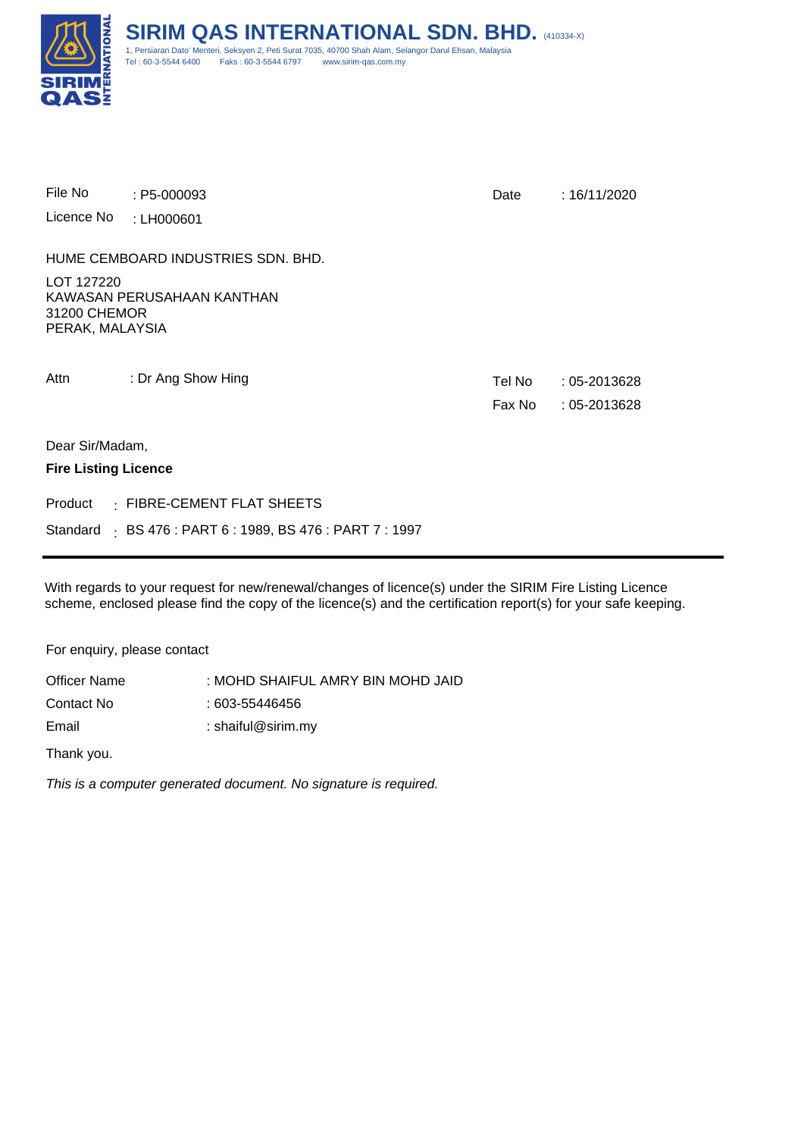

| File No                                       | $: P5-000093$                                             | Date             | : 16/11/2020                       |
|-----------------------------------------------|-----------------------------------------------------------|------------------|------------------------------------|
| Licence No                                    | : LH000601                                                |                  |                                    |
|                                               | HUME CEMBOARD INDUSTRIES SDN. BHD.                        |                  |                                    |
| LOT 127220<br>31200 CHEMOR<br>PERAK, MALAYSIA | KAWASAN PERUSAHAAN KANTHAN                                |                  |                                    |
| Attn                                          | : Dr Ang Show Hing                                        | Tel No<br>Fax No | $:05 - 2013628$<br>$:05 - 2013628$ |
| Dear Sir/Madam,                               |                                                           |                  |                                    |
| <b>Fire Listing Licence</b>                   |                                                           |                  |                                    |
|                                               | Product · FIBRE-CEMENT FLAT SHEETS                        |                  |                                    |
|                                               | Standard : BS 476 : PART 6 : 1989, BS 476 : PART 7 : 1997 |                  |                                    |

With regards to your request for new/renewal/changes of licence(s) under the SIRIM Fire Listing Licence scheme, enclosed please find the copy of the licence(s) and the certification report(s) for your safe keeping.

For enquiry, please contact

Officer Name Email Contact No : MOHD SHAIFUL AMRY BIN MOHD JAID : shaiful@sirim.my : 603-55446456

Thank you.

This is a computer generated document. No signature is required.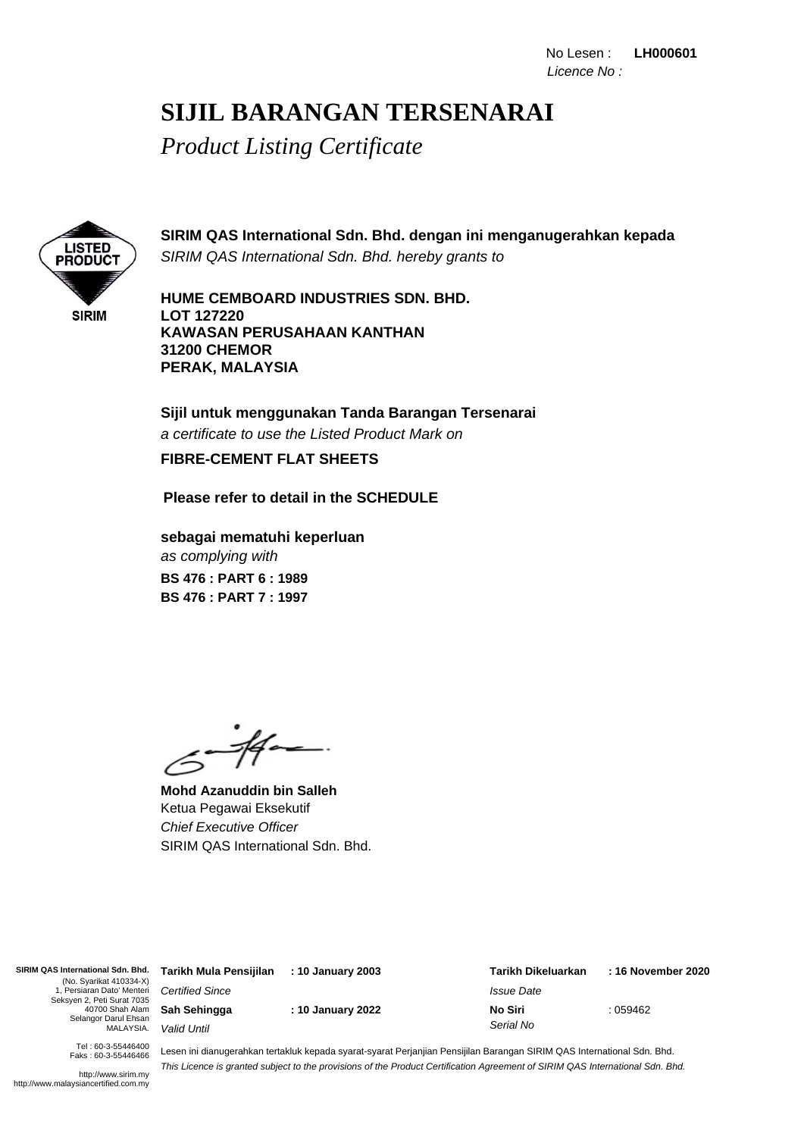### **SIJIL BARANGAN TERSENARAI**

*Product Listing Certificate*



**SIRIM QAS International Sdn. Bhd. dengan ini menganugerahkan kepada** SIRIM QAS International Sdn. Bhd. hereby grants to

**HUME CEMBOARD INDUSTRIES SDN. BHD. LOT 127220 KAWASAN PERUSAHAAN KANTHAN 31200 CHEMOR PERAK, MALAYSIA**

**Sijil untuk menggunakan Tanda Barangan Tersenarai** a certificate to use the Listed Product Mark on **FIBRE-CEMENT FLAT SHEETS**

### **Please refer to detail in the SCHEDULE**

as complying with **sebagai mematuhi keperluan BS 476 : PART 7 : 1997 BS 476 : PART 6 : 1989**

.<br>-14-

**Mohd Azanuddin bin Salleh** Ketua Pegawai Eksekutif Chief Executive Officer SIRIM QAS International Sdn. Bhd.

**SIRIM QAS International Sdn. Bhd.** (No. Syarikat 410334-X) 1, Persiaran Dato' Menteri Seksyen 2, Peti Surat 7035 40700 Shah Alam Selangor Darul Ehsan MALAYSIA.

Certified Since **Sah Sehingga** Valid Until

**: 10 January 2022**

**: 10 January 2003**

: 059462 **Tarikh Dikeluarkan** Issue Date **No Siri** Serial No **Tarikh Mula Pensijilan : 16 November 2020**

Tel : 60-3-55446400 Faks : 60-3-55446466

http://www.sirim.my http://www.malaysiancertified.com.my

Lesen ini dianugerahkan tertakluk kepada syarat-syarat Perjanjian Pensijilan Barangan SIRIM QAS International Sdn. Bhd. This Licence is granted subject to the provisions of the Product Certification Agreement of SIRIM QAS International Sdn. Bhd.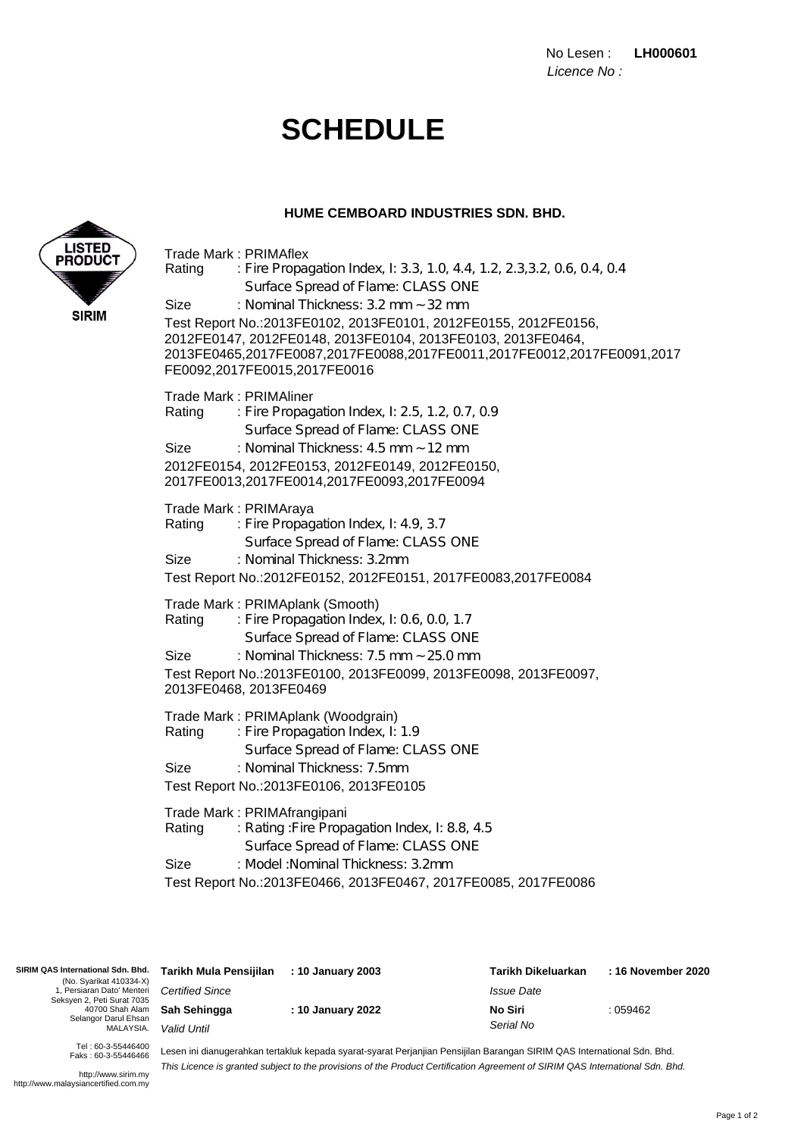No Lesen : **LH000601** Licence No :

## **SCHEDULE**

Surface Spread of Flame: CLASS ONE

Trade Mark : PRIMAflex

#### **HUME CEMBOARD INDUSTRIES SDN. BHD.**

Rating : Fire Propagation Index, I: 3.3, 1.0, 4.4, 1.2, 2.3,3.2, 0.6, 0.4, 0.4



Test Report No.:2013FE0466, 2013FE0467, 2017FE0085, 2017FE0086 Trade Mark: PRIMAfrangipani Rating : Rating : Fire Propagation Index, I: 8.8, 4.5 Surface Spread of Flame: CLASS ONE Size : Model: Nominal Thickness: 3.2mm Test Report No.:2013FE0100, 2013FE0099, 2013FE0098, 2013FE0097, 2013FE0468, 2013FE0469 Trade Mark: PRIMAplank (Smooth) Rating : Fire Propagation Index, I: 0.6, 0.0, 1.7 Surface Spread of Flame: CLASS ONE Size : Nominal Thickness: 7.5 mm ~ 25.0 mm Test Report No.:2013FE0102, 2013FE0101, 2012FE0155, 2012FE0156, 2012FE0147, 2012FE0148, 2013FE0104, 2013FE0103, 2013FE0464, 2013FE0465,2017FE0087,2017FE0088,2017FE0011,2017FE0012,2017FE0091,2017 FE0092,2017FE0015,2017FE0016 Size : Nominal Thickness: 3.2 mm ~ 32 mm Test Report No.:2013FE0106, 2013FE0105 Trade Mark: PRIMAplank (Woodgrain) Rating : Fire Propagation Index, I: 1.9 Surface Spread of Flame: CLASS ONE Size : Nominal Thickness: 7.5mm Test Report No.:2012FE0152, 2012FE0151, 2017FE0083,2017FE0084 Trade Mark : PRIMAraya Rating : Fire Propagation Index, I: 4.9, 3.7 Surface Spread of Flame: CLASS ONE Size : Nominal Thickness: 3.2mm 2012FE0154, 2012FE0153, 2012FE0149, 2012FE0150, 2017FE0013,2017FE0014,2017FE0093,2017FE0094 Trade Mark : PRIMAliner Rating : Fire Propagation Index, I: 2.5, 1.2, 0.7, 0.9 Surface Spread of Flame: CLASS ONE Size : Nominal Thickness: 4.5 mm ~ 12 mm

| SIRIM QAS International Sdn. Bhd.<br>(No. Syarikat 410334-X) | Tarikh Mula Pensijilan                                                                                                  | : 10 January 2003 | Tarikh Dikeluarkan       | : 16 November 2020 |  |
|--------------------------------------------------------------|-------------------------------------------------------------------------------------------------------------------------|-------------------|--------------------------|--------------------|--|
| . Persiaran Dato' Menteri<br>Seksyen 2, Peti Surat 7035      | <b>Certified Since</b>                                                                                                  |                   | <i><b>Issue Date</b></i> |                    |  |
| 40700 Shah Alam<br>Selangor Darul Ehsan                      | Sah Sehingga                                                                                                            | : 10 January 2022 | No Siri                  | : 059462           |  |
| MALAYSIA.                                                    | Valid Until                                                                                                             |                   | Serial No                |                    |  |
| Tel: 60-3-55446400<br>Faks: 60-3-55446466                    | Lesen ini dianugerahkan tertakluk kepada syarat-syarat Perjanjian Pensijilan Barangan SIRIM QAS International Sdn. Bhd. |                   |                          |                    |  |

http://www.sirim.my

Lesen ini dianugerahkan tertakluk kepada syarat-syarat Perjanjian Pensijilan Barangan SIRIM QAS International Sdn. Bhd. This Licence is granted subject to the provisions of the Product Certification Agreement of SIRIM QAS International Sdn. Bhd.

http://www.malaysiancertified.com.my